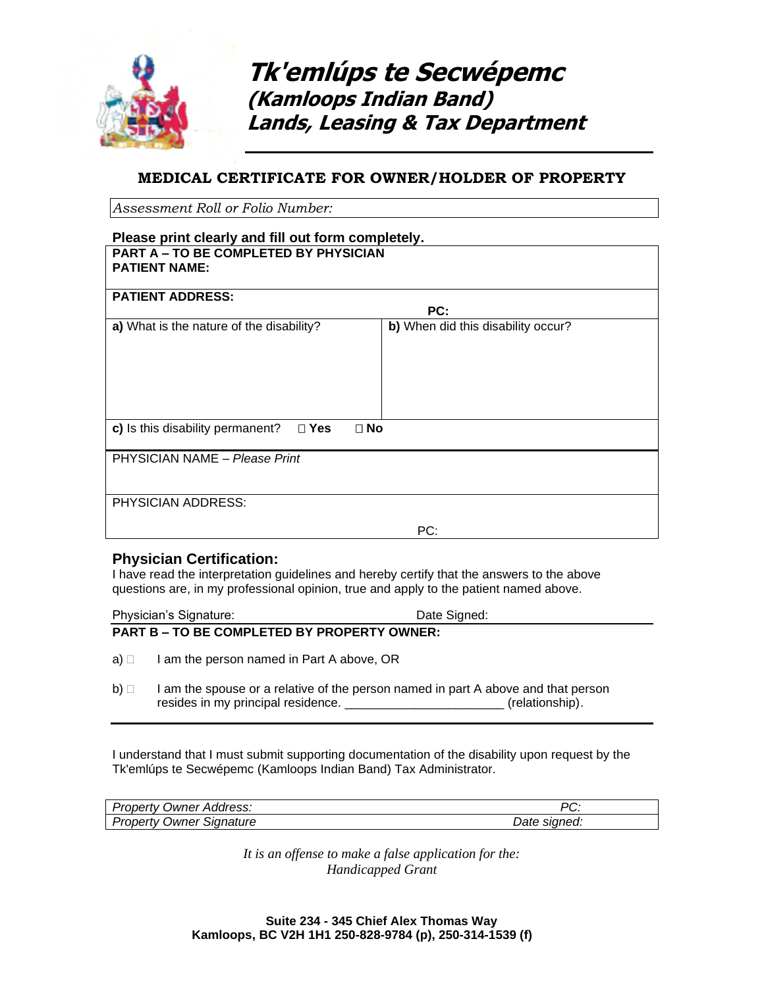

**Tk'emlúps te Secwépemc (Kamloops Indian Band) Lands, Leasing & Tax Department**

# **MEDICAL CERTIFICATE FOR OWNER/HOLDER OF PROPERTY**

*Assessment Roll or Folio Number:* 

#### **Please print clearly and fill out form completely. PART A – TO BE COMPLETED BY PHYSICIAN PATIENT NAME:**

| <b>PATIENT ADDRESS:</b>                                           |                                    |  |
|-------------------------------------------------------------------|------------------------------------|--|
|                                                                   | PC:                                |  |
| a) What is the nature of the disability?                          | b) When did this disability occur? |  |
|                                                                   |                                    |  |
| c) Is this disability permanent?<br>$\square$ Yes<br>$\square$ No |                                    |  |
| PHYSICIAN NAME - Please Print                                     |                                    |  |
|                                                                   |                                    |  |
| PHYSICIAN ADDRESS:                                                |                                    |  |
|                                                                   | PC:                                |  |

### **Physician Certification:**

I have read the interpretation guidelines and hereby certify that the answers to the above questions are, in my professional opinion, true and apply to the patient named above.

Physician's Signature: Date Signed: Date Signed: **PART B – TO BE COMPLETED BY PROPERTY OWNER:**

- $a) \Box$  I am the person named in Part A above, OR
- $b)$   $\Box$  I am the spouse or a relative of the person named in part A above and that person resides in my principal residence. \_\_\_\_\_\_\_\_\_\_\_\_\_\_\_\_\_\_\_\_\_\_\_\_\_\_\_(relationship).

I understand that I must submit supporting documentation of the disability upon request by the Tk'emlúps te Secwépemc (Kamloops Indian Band) Tax Administrator.

| Address:<br>∵ropertv<br><i><b>Jwner</b></i> | D7<br>U.        |  |
|---------------------------------------------|-----------------|--|
| Property<br>Signature<br><b>Owner</b>       | sianed:<br>Date |  |

*It is an offense to make a false application for the: Handicapped Grant*